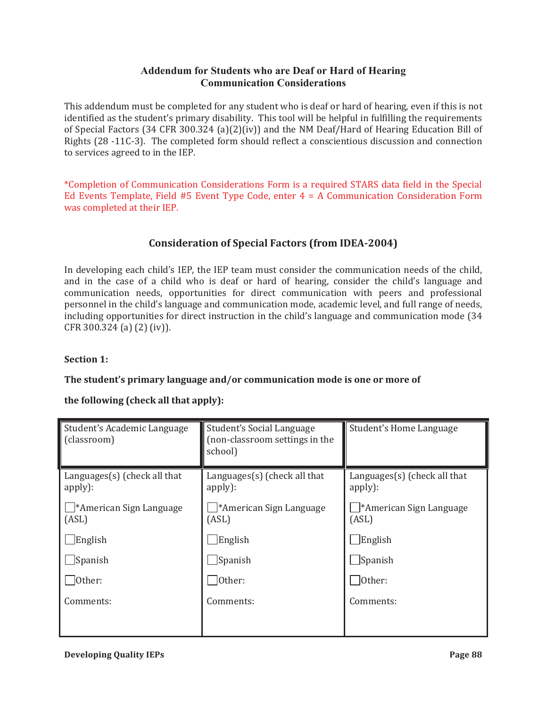# **Addendum for Students who are Deaf or Hard of Hearing Communication Considerations**

This addendum must be completed for any student who is deaf or hard of hearing, even if this is not identified as the student's primary disability. This tool will be helpful in fulfilling the requirements of Special Factors (34 CFR 300.324 (a)(2)(iv)) and the NM Deaf/Hard of Hearing Education Bill of Rights (28 -11C-3). The completed form should reflect a conscientious discussion and connection to services agreed to in the IEP.

\*Completion of Communication Considerations Form is a required STARS data field in the Special Ed Events Template, Field #5 Event Type Code, enter 4 = A Communication Consideration Form was completed at their IEP.

# **Consideration of Special Factors (from IDEA-2004)**

In developing each child's IEP, the IEP team must consider the communication needs of the child, and in the case of a child who is deaf or hard of hearing, consider the child's language and communication needs, opportunities for direct communication with peers and professional personnel in the child's language and communication mode, academic level, and full range of needs, including opportunities for direct instruction in the child's language and communication mode (34 CFR 300.324 (a) (2) (iv)).

## **Section 1:**

### **The student's primary language and/or communication mode is one or more of**

## **the following (check all that apply):**

| Student's Academic Language<br>(classroom) | Student's Social Language<br>(non-classroom settings in the<br>school) | Student's Home Language                    |
|--------------------------------------------|------------------------------------------------------------------------|--------------------------------------------|
| Languages $(s)$ (check all that<br>apply): | Languages $(s)$ (check all that<br>apply):                             | Languages $(s)$ (check all that<br>apply): |
| *American Sign Language<br>(ASL)           | *American Sign Language<br>(ASL)                                       | *American Sign Language<br>(ASL)           |
| English                                    | English                                                                | English                                    |
| Spanish                                    | $\Box$ Spanish                                                         | Spanish                                    |
| Other:                                     | Other:                                                                 | Other:                                     |
| Comments:                                  | Comments:                                                              | Comments:                                  |
|                                            |                                                                        |                                            |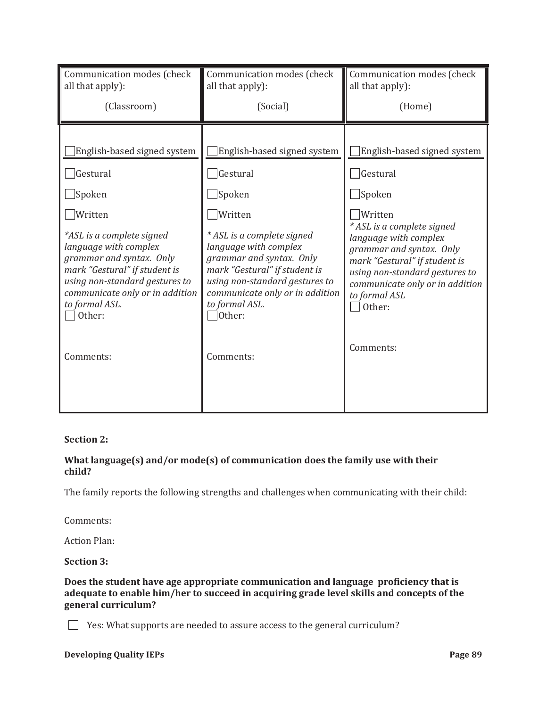| Communication modes (check      | Communication modes (check      | Communication modes (check      |
|---------------------------------|---------------------------------|---------------------------------|
| all that apply):                | all that apply):                | all that apply):                |
| (Classroom)                     | (Social)                        | (Home)                          |
| English-based signed system     | English-based signed system     | English-based signed system     |
| Gestural                        | Gestural                        | Gestural                        |
| ]Spoken                         | Spoken                          | $\Box$ Spoken                   |
| Written                         | Written                         | Written                         |
| *ASL is a complete signed       | * ASL is a complete signed      | * ASL is a complete signed      |
| language with complex           | language with complex           | language with complex           |
| grammar and syntax. Only        | grammar and syntax. Only        | grammar and syntax. Only        |
| mark "Gestural" if student is   | mark "Gestural" if student is   | mark "Gestural" if student is   |
| using non-standard gestures to  | using non-standard gestures to  | using non-standard gestures to  |
| communicate only or in addition | communicate only or in addition | communicate only or in addition |
| to formal ASL.                  | to formal ASL.                  | to formal ASL                   |
| Other:                          | Other:                          | Other:                          |
| Comments:                       | Comments:                       | Comments:                       |

### **Section 2:**

## **What language(s) and/or mode(s) of communication does the family use with their child?**

The family reports the following strengths and challenges when communicating with their child:

Comments:

Action Plan:

### **Section 3:**

### **Does the student have age appropriate communication and language proficiency that is adequate to enable him/her to succeed in acquiring grade level skills and concepts of the general curriculum?**

 $\Box$  Yes: What supports are needed to assure access to the general curriculum?

## **Developing Quality IEPs** Page 89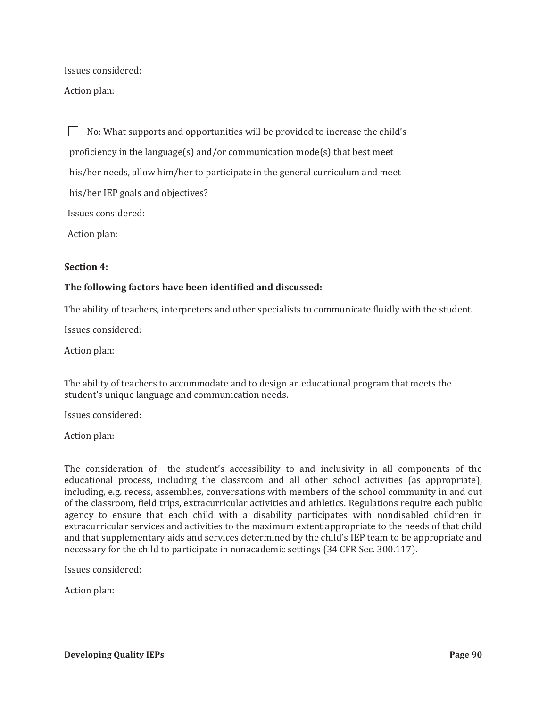Issues considered:

Action plan:

 $\Box$  No: What supports and opportunities will be provided to increase the child's proficiency in the language(s) and/or communication mode(s) that best meet his/her needs, allow him/her to participate in the general curriculum and meet his/her IEP goals and objectives? Issues considered: Action plan:

#### **Section 4:**

#### **The following factors have been identified and discussed:**

The ability of teachers, interpreters and other specialists to communicate fluidly with the student.

Issues considered:

Action plan:

The ability of teachers to accommodate and to design an educational program that meets the student's unique language and communication needs.

Issues considered:

Action plan:

The consideration of the student's accessibility to and inclusivity in all components of the educational process, including the classroom and all other school activities (as appropriate), including, e.g. recess, assemblies, conversations with members of the school community in and out of the classroom, field trips, extracurricular activities and athletics. Regulations require each public agency to ensure that each child with a disability participates with nondisabled children in extracurricular services and activities to the maximum extent appropriate to the needs of that child and that supplementary aids and services determined by the child's IEP team to be appropriate and necessary for the child to participate in nonacademic settings (34 CFR Sec. 300.117).

Issues considered:

Action plan: